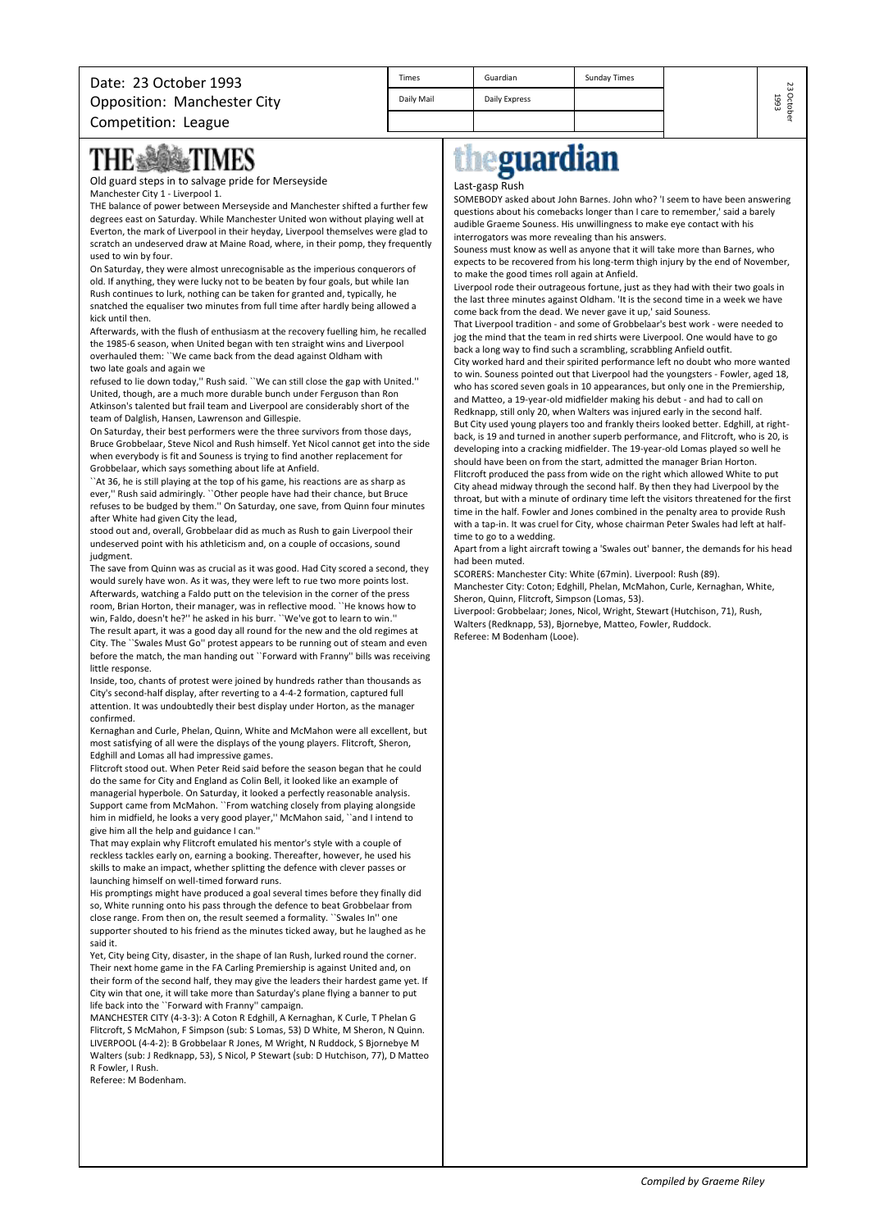| Date: 23 October 1993              | <b>Times</b> | Guardian      | Sunday Times | 23         |
|------------------------------------|--------------|---------------|--------------|------------|
| <b>Opposition: Manchester City</b> | Daily Mail   | Daily Express |              | Octo<br>ىت |
| Competition: League                |              |               |              |            |

## **BARTIMES** THE ▒

Old guard steps in to salvage pride for Merseyside Manchester City 1 - Liverpool 1.

THE balance of power between Merseyside and Manchester shifted a further few degrees east on Saturday. While Manchester United won without playing well at Everton, the mark of Liverpool in their heyday, Liverpool themselves were glad to scratch an undeserved draw at Maine Road, where, in their pomp, they frequently used to win by four.

On Saturday, they were almost unrecognisable as the imperious conquerors of old. If anything, they were lucky not to be beaten by four goals, but while Ian Rush continues to lurk, nothing can be taken for granted and, typically, he snatched the equaliser two minutes from full time after hardly being allowed a kick until then.

Afterwards, with the flush of enthusiasm at the recovery fuelling him, he recalled the 1985-6 season, when United began with ten straight wins and Liverpool overhauled them: ``We came back from the dead against Oldham with two late goals and again we

refused to lie down today,'' Rush said. ``We can still close the gap with United.'' United, though, are a much more durable bunch under Ferguson than Ron Atkinson's talented but frail team and Liverpool are considerably short of the team of Dalglish, Hansen, Lawrenson and Gillespie.

On Saturday, their best performers were the three survivors from those days, Bruce Grobbelaar, Steve Nicol and Rush himself. Yet Nicol cannot get into the side when everybody is fit and Souness is trying to find another replacement for Grobbelaar, which says something about life at Anfield.

``At 36, he is still playing at the top of his game, his reactions are as sharp as ever,'' Rush said admiringly. ``Other people have had their chance, but Bruce refuses to be budged by them.'' On Saturday, one save, from Quinn four minutes after White had given City the lead,

stood out and, overall, Grobbelaar did as much as Rush to gain Liverpool their undeserved point with his athleticism and, on a couple of occasions, sound judgment.

The save from Quinn was as crucial as it was good. Had City scored a second, they would surely have won. As it was, they were left to rue two more points lost. Afterwards, watching a Faldo putt on the television in the corner of the press room, Brian Horton, their manager, was in reflective mood. ``He knows how to win, Faldo, doesn't he?'' he asked in his burr. ``We've got to learn to win.'' The result apart, it was a good day all round for the new and the old regimes at

City. The ``Swales Must Go'' protest appears to be running out of steam and even before the match, the man handing out ``Forward with Franny'' bills was receiving little response.

Inside, too, chants of protest were joined by hundreds rather than thousands as City's second-half display, after reverting to a 4-4-2 formation, captured full attention. It was undoubtedly their best display under Horton, as the manager confirmed.

Kernaghan and Curle, Phelan, Quinn, White and McMahon were all excellent, but most satisfying of all were the displays of the young players. Flitcroft, Sheron, Edghill and Lomas all had impressive games.

Flitcroft stood out. When Peter Reid said before the season began that he could do the same for City and England as Colin Bell, it looked like an example of managerial hyperbole. On Saturday, it looked a perfectly reasonable analysis. Support came from McMahon. ``From watching closely from playing alongside him in midfield, he looks a very good player," McMahon said, "and I intend to give him all the help and guidance I can.''

That may explain why Flitcroft emulated his mentor's style with a couple of reckless tackles early on, earning a booking. Thereafter, however, he used his skills to make an impact, whether splitting the defence with clever passes or launching himself on well-timed forward runs.

His promptings might have produced a goal several times before they finally did so, White running onto his pass through the defence to beat Grobbelaar from close range. From then on, the result seemed a formality. ``Swales In'' one supporter shouted to his friend as the minutes ticked away, but he laughed as he said it.

Yet, City being City, disaster, in the shape of Ian Rush, lurked round the corner. Their next home game in the FA Carling Premiership is against United and, on their form of the second half, they may give the leaders their hardest game yet. If City win that one, it will take more than Saturday's plane flying a banner to put life back into the ``Forward with Franny'' campaign.

MANCHESTER CITY (4-3-3): A Coton R Edghill, A Kernaghan, K Curle, T Phelan G Flitcroft, S McMahon, F Simpson (sub: S Lomas, 53) D White, M Sheron, N Quinn. LIVERPOOL (4-4-2): B Grobbelaar R Jones, M Wright, N Ruddock, S Bjornebye M Walters (sub: J Redknapp, 53), S Nicol, P Stewart (sub: D Hutchison, 77), D Matteo R Fowler, I Rush.

Referee: M Bodenham.

## eguardian

## Last-gasp Rush

SOMEBODY asked about John Barnes. John who? 'I seem to have been answering questions about his comebacks longer than I care to remember,' said a barely audible Graeme Souness. His unwillingness to make eye contact with his interrogators was more revealing than his answers.

Souness must know as well as anyone that it will take more than Barnes, who expects to be recovered from his long-term thigh injury by the end of November, to make the good times roll again at Anfield.

Liverpool rode their outrageous fortune, just as they had with their two goals in the last three minutes against Oldham. 'It is the second time in a week we have come back from the dead. We never gave it up,' said Souness.

That Liverpool tradition - and some of Grobbelaar's best work - were needed to jog the mind that the team in red shirts were Liverpool. One would have to go back a long way to find such a scrambling, scrabbling Anfield outfit.

City worked hard and their spirited performance left no doubt who more wanted to win. Souness pointed out that Liverpool had the youngsters - Fowler, aged 18, who has scored seven goals in 10 appearances, but only one in the Premiership, and Matteo, a 19-year-old midfielder making his debut - and had to call on Redknapp, still only 20, when Walters was injured early in the second half. But City used young players too and frankly theirs looked better. Edghill, at right-

back, is 19 and turned in another superb performance, and Flitcroft, who is 20, is developing into a cracking midfielder. The 19-year-old Lomas played so well he should have been on from the start, admitted the manager Brian Horton. Flitcroft produced the pass from wide on the right which allowed White to put City ahead midway through the second half. By then they had Liverpool by the throat, but with a minute of ordinary time left the visitors threatened for the first time in the half. Fowler and Jones combined in the penalty area to provide Rush with a tap-in. It was cruel for City, whose chairman Peter Swales had left at half-

time to go to a wedding. Apart from a light aircraft towing a 'Swales out' banner, the demands for his head had been muted.

SCORERS: Manchester City: White (67min). Liverpool: Rush (89). Manchester City: Coton; Edghill, Phelan, McMahon, Curle, Kernaghan, White, Sheron, Quinn, Flitcroft, Simpson (Lomas, 53). Liverpool: Grobbelaar; Jones, Nicol, Wright, Stewart (Hutchison, 71), Rush, Walters (Redknapp, 53), Bjornebye, Matteo, Fowler, Ruddock.

Referee: M Bodenham (Looe).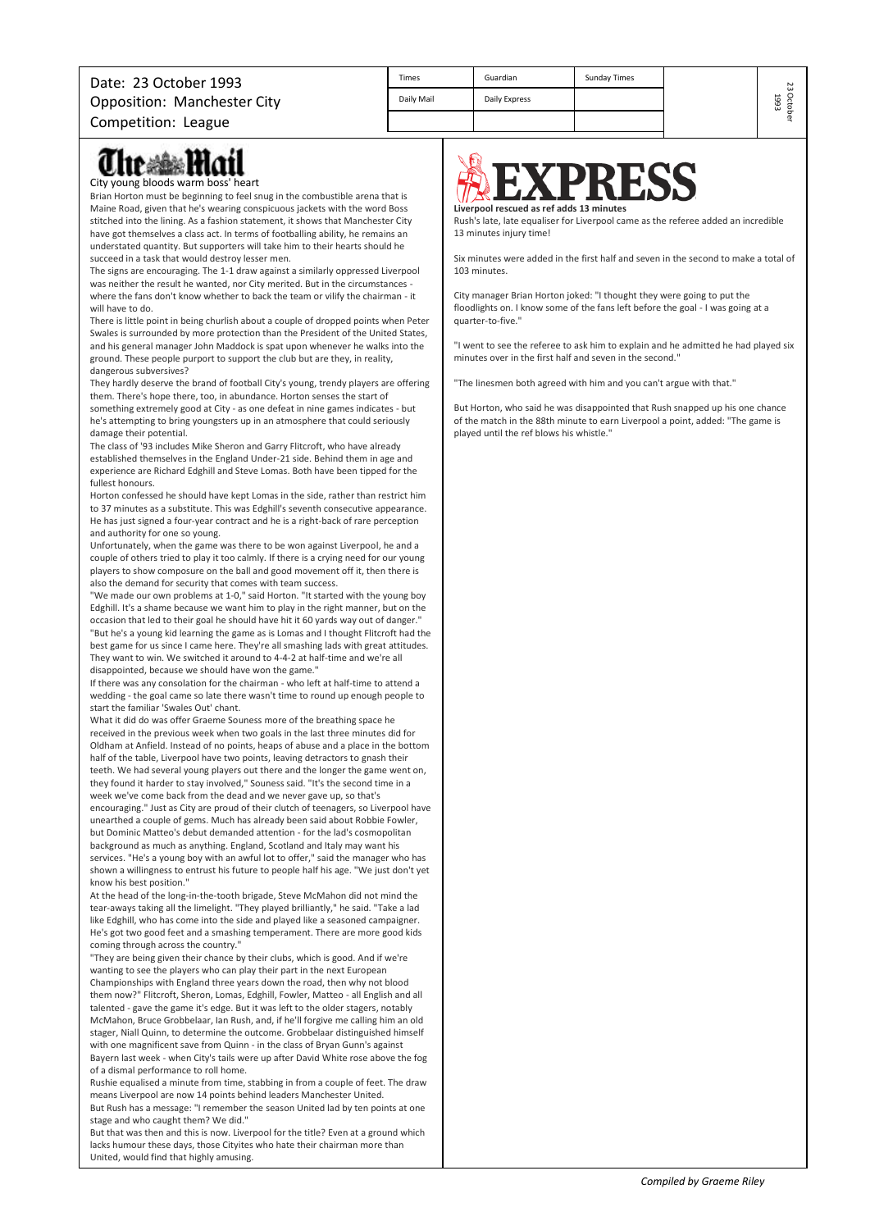| <b>Times</b> | Guardian      | <b>Sunday Times</b> |
|--------------|---------------|---------------------|
| Daily Mail   | Daily Express |                     |
|              |               |                     |

## lte ≋ê≋ Hlatl

City young bloods warm boss' heart

Brian Horton must be beginning to feel snug in the combustible arena that is Maine Road, given that he's wearing conspicuous jackets with the word Boss stitched into the lining. As a fashion statement, it shows that Manchester City have got themselves a class act. In terms of footballing ability, he remains an understated quantity. But supporters will take him to their hearts should he succeed in a task that would destroy lesser men.

The signs are encouraging. The 1-1 draw against a similarly oppressed Liverpool was neither the result he wanted, nor City merited. But in the circumstances where the fans don't know whether to back the team or vilify the chairman - it will have to do.

There is little point in being churlish about a couple of dropped points when Peter Swales is surrounded by more protection than the President of the United States, and his general manager John Maddock is spat upon whenever he walks into the ground. These people purport to support the club but are they, in reality, dangerous subversives?

They hardly deserve the brand of football City's young, trendy players are offering them. There's hope there, too, in abundance. Horton senses the start of something extremely good at City - as one defeat in nine games indicates - but

he's attempting to bring youngsters up in an atmosphere that could seriously damage their potential.

The class of '93 includes Mike Sheron and Garry Flitcroft, who have already established themselves in the England Under-21 side. Behind them in age and experience are Richard Edghill and Steve Lomas. Both have been tipped for the fullest honours.

Horton confessed he should have kept Lomas in the side, rather than restrict him to 37 minutes as a substitute. This was Edghill's seventh consecutive appearance. He has just signed a four-year contract and he is a right-back of rare perception and authority for one so young.

Unfortunately, when the game was there to be won against Liverpool, he and a couple of others tried to play it too calmly. If there is a crying need for our young players to show composure on the ball and good movement off it, then there is also the demand for security that comes with team success.

"We made our own problems at 1-0," said Horton. "It started with the young boy Edghill. It's a shame because we want him to play in the right manner, but on the occasion that led to their goal he should have hit it 60 yards way out of danger." "But he's a young kid learning the game as is Lomas and I thought Flitcroft had the best game for us since I came here. They're all smashing lads with great attitudes. They want to win. We switched it around to 4-4-2 at half-time and we're all disappointed, because we should have won the game."

If there was any consolation for the chairman - who left at half-time to attend a wedding - the goal came so late there wasn't time to round up enough people to start the familiar 'Swales Out' chant.

What it did do was offer Graeme Souness more of the breathing space he received in the previous week when two goals in the last three minutes did for Oldham at Anfield. Instead of no points, heaps of abuse and a place in the bottom half of the table, Liverpool have two points, leaving detractors to gnash their teeth. We had several young players out there and the longer the game went on, they found it harder to stay involved," Souness said. "It's the second time in a

week we've come back from the dead and we never gave up, so that's encouraging." Just as City are proud of their clutch of teenagers, so Liverpool have unearthed a couple of gems. Much has already been said about Robbie Fowler, but Dominic Matteo's debut demanded attention - for the lad's cosmopolitan background as much as anything. England, Scotland and Italy may want his services. "He's a young boy with an awful lot to offer," said the manager who has shown a willingness to entrust his future to people half his age. "We just don't yet know his best position."

At the head of the long-in-the-tooth brigade, Steve McMahon did not mind the tear-aways taking all the limelight. "They played brilliantly," he said. "Take a lad like Edghill, who has come into the side and played like a seasoned campaigner. He's got two good feet and a smashing temperament. There are more good kids coming through across the country."

"They are being given their chance by their clubs, which is good. And if we're wanting to see the players who can play their part in the next European Championships with England three years down the road, then why not blood them now?" Flitcroft, Sheron, Lomas, Edghill, Fowler, Matteo - all English and all talented - gave the game it's edge. But it was left to the older stagers, notably McMahon, Bruce Grobbelaar, Ian Rush, and, if he'll forgive me calling him an old stager, Niall Quinn, to determine the outcome. Grobbelaar distinguished himself with one magnificent save from Quinn - in the class of Bryan Gunn's against Bayern last week - when City's tails were up after David White rose above the fog of a dismal performance to roll home.

Rushie equalised a minute from time, stabbing in from a couple of feet. The draw means Liverpool are now 14 points behind leaders Manchester United.

But Rush has a message: "I remember the season United lad by ten points at one stage and who caught them? We did."

But that was then and this is now. Liverpool for the title? Even at a ground which lacks humour these days, those Cityites who hate their chairman more than United, would find that highly amusing.



Rush's late, late equaliser for Liverpool came as the referee added an incredible 13 minutes injury time!

Six minutes were added in the first half and seven in the second to make a total of 103 minutes.

City manager Brian Horton joked: "I thought they were going to put the floodlights on. I know some of the fans left before the goal - I was going at a quarter-to-five."

"I went to see the referee to ask him to explain and he admitted he had played six minutes over in the first half and seven in the second."

"The linesmen both agreed with him and you can't argue with that."

But Horton, who said he was disappointed that Rush snapped up his one chance of the match in the 88th minute to earn Liverpool a point, added: "The game is played until the ref blows his whistle."